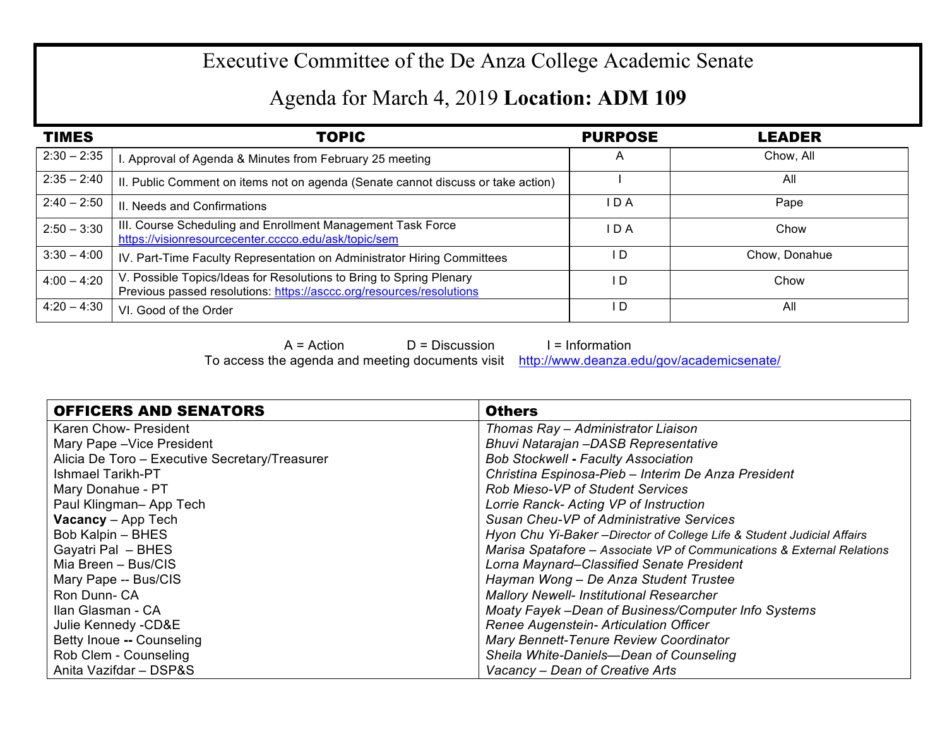## Executive Committee of the De Anza College Academic Senate

## Agenda for March 4, 2019 **Location: ADM 109**

| <b>TIMES</b>  | TOPIC                                                                                                                                       | <b>PURPOSE</b> | <b>LEADER</b> |
|---------------|---------------------------------------------------------------------------------------------------------------------------------------------|----------------|---------------|
| $2:30 - 2:35$ | . Approval of Agenda & Minutes from February 25 meeting                                                                                     | $\overline{A}$ | Chow, All     |
| $2:35 - 2:40$ | II. Public Comment on items not on agenda (Senate cannot discuss or take action)                                                            |                | All           |
| $2:40 - 2:50$ | II. Needs and Confirmations                                                                                                                 | I D A          | Pape          |
| $2:50 - 3:30$ | III. Course Scheduling and Enrollment Management Task Force<br>https://visionresourcecenter.cccco.edu/ask/topic/sem                         | I D A          | Chow          |
| $3:30 - 4:00$ | IV. Part-Time Faculty Representation on Administrator Hiring Committees                                                                     | I D            | Chow, Donahue |
| $4:00 - 4:20$ | V. Possible Topics/Ideas for Resolutions to Bring to Spring Plenary<br>Previous passed resolutions: https://asccc.org/resources/resolutions | l D            | Chow          |
| $4:20 - 4:30$ | VI. Good of the Order                                                                                                                       | I D            | All           |

 $A = Action$  D = Discussion I = Information

To access the agenda and meeting documents visit http://www.deanza.edu/gov/academicsenate/

| <b>OFFICERS AND SENATORS</b>                   | <b>Others</b>                                                           |
|------------------------------------------------|-------------------------------------------------------------------------|
| Karen Chow- President                          | Thomas Ray - Administrator Liaison                                      |
| Mary Pape - Vice President                     | Bhuvi Natarajan -DASB Representative                                    |
| Alicia De Toro - Executive Secretary/Treasurer | <b>Bob Stockwell - Faculty Association</b>                              |
| <b>Ishmael Tarikh-PT</b>                       | Christina Espinosa-Pieb - Interim De Anza President                     |
| Mary Donahue - PT                              | <b>Rob Mieso-VP of Student Services</b>                                 |
| Paul Klingman-App Tech                         | Lorrie Ranck- Acting VP of Instruction                                  |
| <b>Vacancy</b> - App Tech                      | <b>Susan Cheu-VP of Administrative Services</b>                         |
| Bob Kalpin - BHES                              | Hyon Chu Yi-Baker - Director of College Life & Student Judicial Affairs |
| Gayatri Pal - BHES                             | Marisa Spatafore - Associate VP of Communications & External Relations  |
| Mia Breen - Bus/CIS                            | Lorna Maynard–Classified Senate President                               |
| Mary Pape -- Bus/CIS                           | Hayman Wong - De Anza Student Trustee                                   |
| Ron Dunn-CA                                    | <b>Mallory Newell- Institutional Researcher</b>                         |
| Ilan Glasman - CA                              | Moaty Fayek -Dean of Business/Computer Info Systems                     |
| Julie Kennedy -CD&E                            | Renee Augenstein- Articulation Officer                                  |
| Betty Inoue -- Counseling                      | Mary Bennett-Tenure Review Coordinator                                  |
| Rob Clem - Counseling                          | Sheila White-Daniels-Dean of Counseling                                 |
| Anita Vazifdar - DSP&S                         | Vacancy – Dean of Creative Arts                                         |